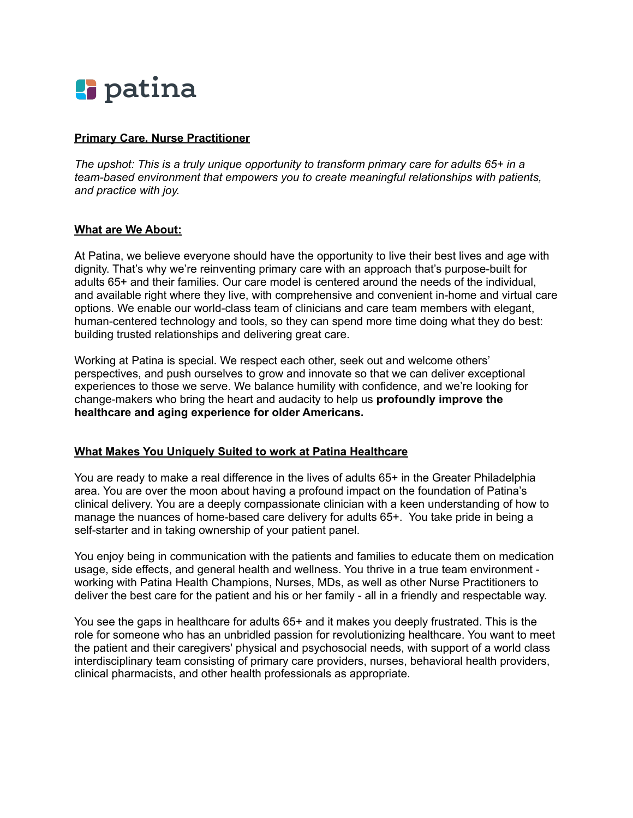# **l** patina

# **Primary Care, Nurse Practitioner**

*The upshot: This is a truly unique opportunity to transform primary care for adults 65+ in a team-based environment that empowers you to create meaningful relationships with patients, and practice with joy.*

#### **What are We About:**

At Patina, we believe everyone should have the opportunity to live their best lives and age with dignity. That's why we're reinventing primary care with an approach that's purpose-built for adults 65+ and their families. Our care model is centered around the needs of the individual, and available right where they live, with comprehensive and convenient in-home and virtual care options. We enable our world-class team of clinicians and care team members with elegant, human-centered technology and tools, so they can spend more time doing what they do best: building trusted relationships and delivering great care.

Working at Patina is special. We respect each other, seek out and welcome others' perspectives, and push ourselves to grow and innovate so that we can deliver exceptional experiences to those we serve. We balance humility with confidence, and we're looking for change-makers who bring the heart and audacity to help us **profoundly improve the healthcare and aging experience for older Americans.**

# **What Makes You Uniquely Suited to work at Patina Healthcare**

You are ready to make a real difference in the lives of adults 65+ in the Greater Philadelphia area. You are over the moon about having a profound impact on the foundation of Patina's clinical delivery. You are a deeply compassionate clinician with a keen understanding of how to manage the nuances of home-based care delivery for adults 65+. You take pride in being a self-starter and in taking ownership of your patient panel.

You enjoy being in communication with the patients and families to educate them on medication usage, side effects, and general health and wellness. You thrive in a true team environment working with Patina Health Champions, Nurses, MDs, as well as other Nurse Practitioners to deliver the best care for the patient and his or her family - all in a friendly and respectable way.

You see the gaps in healthcare for adults 65+ and it makes you deeply frustrated. This is the role for someone who has an unbridled passion for revolutionizing healthcare. You want to meet the patient and their caregivers' physical and psychosocial needs, with support of a world class interdisciplinary team consisting of primary care providers, nurses, behavioral health providers, clinical pharmacists, and other health professionals as appropriate.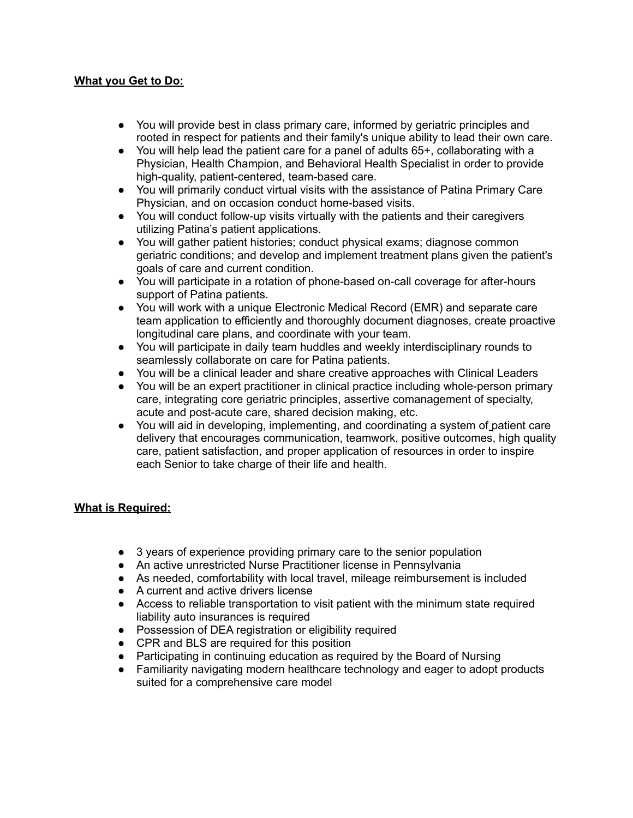#### **What you Get to Do:**

- **●** You will provide best in class primary care, informed by geriatric principles and rooted in respect for patients and their family's unique ability to lead their own care.
- **●** You will help lead the patient care for a panel of adults 65+, collaborating with a Physician, Health Champion, and Behavioral Health Specialist in order to provide high-quality, patient-centered, team-based care.
- **●** You will primarily conduct virtual visits with the assistance of Patina Primary Care Physician, and on occasion conduct home-based visits.
- **●** You will conduct follow-up visits virtually with the patients and their caregivers utilizing Patina's patient applications.
- **●** You will gather patient histories; conduct physical exams; diagnose common geriatric conditions; and develop and implement treatment plans given the patient's goals of care and current condition.
- **●** You will participate in a rotation of phone-based on-call coverage for after-hours support of Patina patients.
- **●** You will work with a unique Electronic Medical Record (EMR) and separate care team application to efficiently and thoroughly document diagnoses, create proactive longitudinal care plans, and coordinate with your team.
- **●** You will participate in daily team huddles and weekly interdisciplinary rounds to seamlessly collaborate on care for Patina patients.
- **●** You will be a clinical leader and share creative approaches with Clinical Leaders
- **●** You will be an expert practitioner in clinical practice including whole-person primary care, integrating core geriatric principles, assertive comanagement of specialty, acute and post-acute care, shared decision making, etc.
- **●** You will aid in developing, implementing, and coordinating a system of patient care delivery that encourages communication, teamwork, positive outcomes, high quality care, patient satisfaction, and proper application of resources in order to inspire each Senior to take charge of their life and health.

# **What is Required:**

- **●** 3 years of experience providing primary care to the senior population
- **●** An active unrestricted Nurse Practitioner license in Pennsylvania
- **●** As needed, comfortability with local travel, mileage reimbursement is included
- **●** A current and active drivers license
- **●** Access to reliable transportation to visit patient with the minimum state required liability auto insurances is required
- **●** Possession of DEA registration or eligibility required
- **●** CPR and BLS are required for this position
- **●** Participating in continuing education as required by the Board of Nursing
- **●** Familiarity navigating modern healthcare technology and eager to adopt products suited for a comprehensive care model